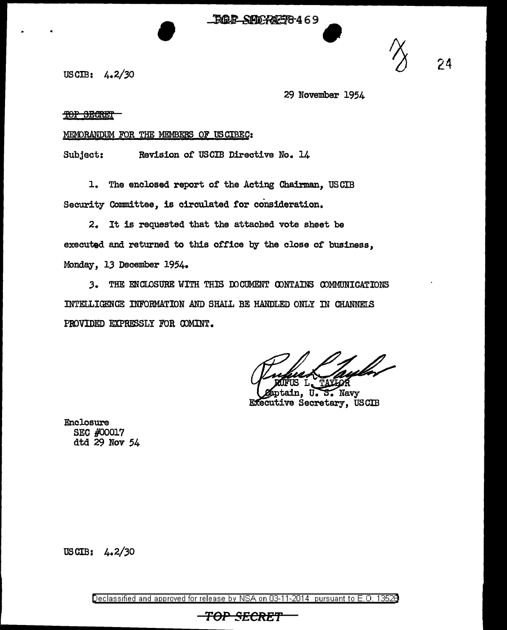**FOR SHORM58469** 

US CIB: 4. 2/30

29 November 1954

TOP SEGRET

## MEMORANDUM FOR THE MEMBERS OF US CIBEC:

Subject: Revision of USCIB Directive No. 14

1. The enclosed report of the Acting Chairman, USCIB Security Committee, is circulated tor consideration.

2. It is requested that the attached vote sheet be executed and returned to this office by the close of business, Monday, 13 December 1954.

J. THE ENCLOSURE WITH THIS IDCUMENT CDNTAINS CDMMUNICATIONS INTELLIGENCE INFORMATION AND SHALL BE HANDLED ONLY IN CHANNELS PROVIDED EXPRESSLY FOR COMINT.

S. Navy **Executive Secretary, USCIB** 

Enclosure SEC #00017 dtd 29 Nov 54

US CIB: 4. 2/30

Declassified and approved for release by NSA on 03-11-2014 pursuant to E. 0. 1352B

## TOP SECRE'f'

24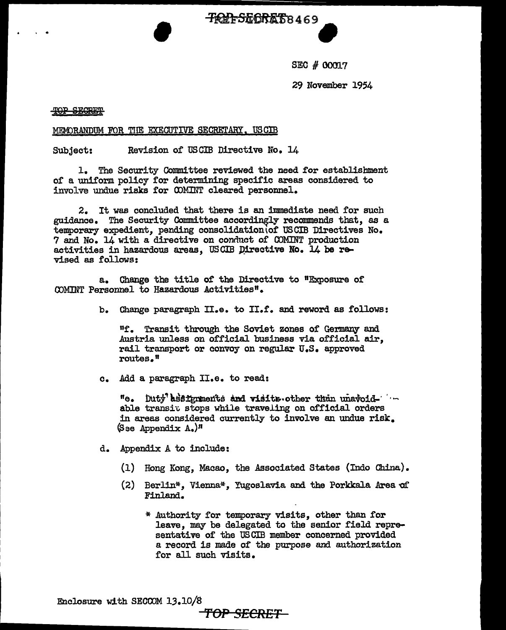**TRIFSECRET8469** 

SEC # 00017

29 November 1954

TOP SECRET

## MEMORANDUM FOR THE EXECUTIVE SECRETARY, USCIB

Subject: Revision of USCIB Directive No. 14

1. The Security Committee reviewed the need £or establishment of a uniform policy ror determining specific areas considered to involve undue risks for COMINT cleared personnel.

2. It was concluded that there is an immediate need for such guidance. The Security Committee accordingly recommends that, as a temporary expedient, pending consolidation\of USCIB Directives No. 7 and No. 14 with a directive on conduct of COMINT production activities in hazardous areas, USCIB Directive No. 14 be revised as follows:

a. Change the title of the Directive to 11Exposure or COMINT Personnel to Hazardous Activities".

b. Change paragraph II.e. to II.f. and reword as follows:

nr. Transit through the Soviet zones of Germany and Austria unless on official business via official air, rail transport or convoy on regular U.S. approved routes."

c. Add a paragraph II.e. to read:

"e. buty assignments and visits other than unavoid- · · - able transit stops while traveling on official orders in areas considered currently to involve an undue risk.  $(S$ se Appendix A.)<sup>11</sup>

d. Appendix A to include:

- (1) Hong Kong, Macao, the Associated States (Indo China).
- $(2)$  Berlin\*, Vienna\*, Yugoslavia and the Porkkala Area of Finland.
	- \* Authority for temporary visits, other than for leave, may be delegated to the senior field representative of the USCIB member concerned provided a record is made of the purpose and authorization for all such visits.

Enclosure with SECOOM 13.10/8 **'fOP SECRET**